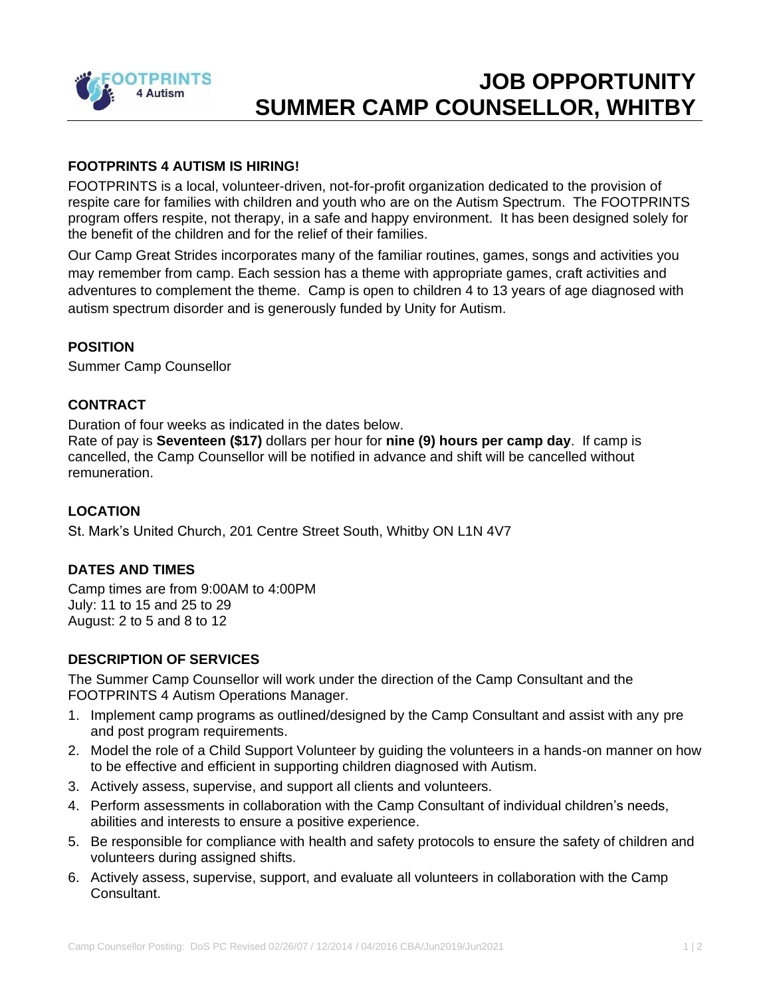

# **JOB OPPORTUNITY SUMMER CAMP COUNSELLOR, WHITBY**

## **FOOTPRINTS 4 AUTISM IS HIRING!**

FOOTPRINTS is a local, volunteer-driven, not-for-profit organization dedicated to the provision of respite care for families with children and youth who are on the Autism Spectrum. The FOOTPRINTS program offers respite, not therapy, in a safe and happy environment. It has been designed solely for the benefit of the children and for the relief of their families.

Our Camp Great Strides incorporates many of the familiar routines, games, songs and activities you may remember from camp. Each session has a theme with appropriate games, craft activities and adventures to complement the theme. Camp is open to children 4 to 13 years of age diagnosed with autism spectrum disorder and is generously funded by Unity for Autism.

#### **POSITION**

Summer Camp Counsellor

### **CONTRACT**

Duration of four weeks as indicated in the dates below.

Rate of pay is **Seventeen (\$17)** dollars per hour for **nine (9) hours per camp day**. If camp is cancelled, the Camp Counsellor will be notified in advance and shift will be cancelled without remuneration.

#### **LOCATION**

St. Mark's United Church, 201 Centre Street South, Whitby ON L1N 4V7

#### **DATES AND TIMES**

Camp times are from 9:00AM to 4:00PM July: 11 to 15 and 25 to 29 August: 2 to 5 and 8 to 12

#### **DESCRIPTION OF SERVICES**

The Summer Camp Counsellor will work under the direction of the Camp Consultant and the FOOTPRINTS 4 Autism Operations Manager.

- 1. Implement camp programs as outlined/designed by the Camp Consultant and assist with any pre and post program requirements.
- 2. Model the role of a Child Support Volunteer by guiding the volunteers in a hands-on manner on how to be effective and efficient in supporting children diagnosed with Autism.
- 3. Actively assess, supervise, and support all clients and volunteers.
- 4. Perform assessments in collaboration with the Camp Consultant of individual children's needs, abilities and interests to ensure a positive experience.
- 5. Be responsible for compliance with health and safety protocols to ensure the safety of children and volunteers during assigned shifts.
- 6. Actively assess, supervise, support, and evaluate all volunteers in collaboration with the Camp Consultant.